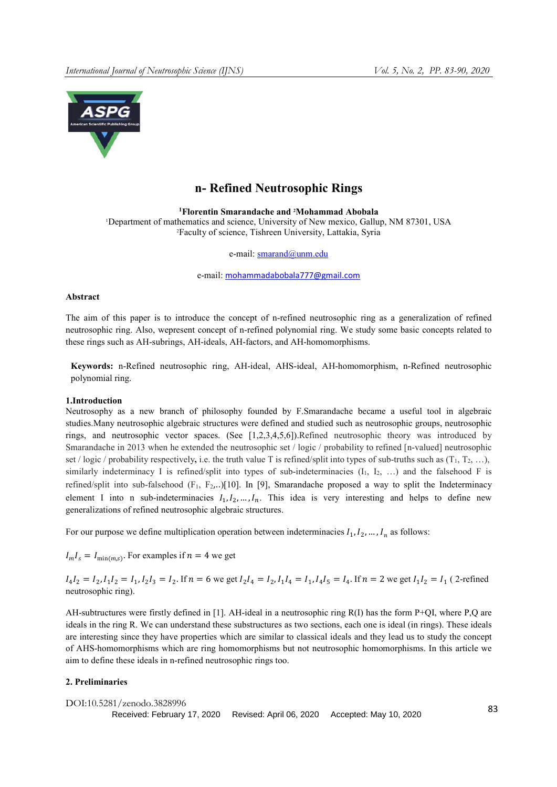

# n- Refined Neutrosophic Rings

1Florentin Smarandache and 2 Mohammad Abobala 1 Department of mathematics and science, University of New mexico, Gallup, NM 87301, USA 2 Faculty of science, Tishreen University, Lattakia, Syria

e-mail: smarand@unm.edu

e-mail: mohammadabobala777@gmail.com

## Abstract

The aim of this paper is to introduce the concept of n-refined neutrosophic ring as a generalization of refined neutrosophic ring. Also, wepresent concept of n-refined polynomial ring. We study some basic concepts related to these rings such as AH-subrings, AH-ideals, AH-factors, and AH-homomorphisms.

Keywords: n-Refined neutrosophic ring, AH-ideal, AHS-ideal, AH-homomorphism, n-Refined neutrosophic polynomial ring.

## 1.Introduction

Neutrosophy as a new branch of philosophy founded by F.Smarandache became a useful tool in algebraic studies.Many neutrosophic algebraic structures were defined and studied such as neutrosophic groups, neutrosophic rings, and neutrosophic vector spaces. (See [1,2,3,4,5,6]).Refined neutrosophic theory was introduced by Smarandache in 2013 when he extended the neutrosophic set / logic / probability to refined [n-valued] neutrosophic set / logic / probability respectively, i.e. the truth value T is refined/split into types of sub-truths such as  $(T_1, T_2, ...)$ , similarly indeterminacy I is refined/split into types of sub-indeterminacies  $(I_1, I_2, ...)$  and the falsehood F is refined/split into sub-falsehood  $(F_1, F_2, ...)$ [10]. In [9], Smarandache proposed a way to split the Indeterminacy element I into n sub-indeterminacies  $I_1, I_2, ..., I_n$ . This idea is very interesting and helps to define new generalizations of refined neutrosophic algebraic structures.

For our purpose we define multiplication operation between indeterminacies  $I_1, I_2, \ldots, I_n$  as follows:

 $I_m I_s = I_{\min(m,s)}$ . For examples if  $n = 4$  we get

 $I_4I_2 = I_2, I_1I_2 = I_1, I_2I_3 = I_2$ . If  $n = 6$  we get  $I_2I_4 = I_2, I_1I_4 = I_1, I_4I_5 = I_4$ . If  $n = 2$  we get  $I_1I_2 = I_1$  (2-refined neutrosophic ring).

AH-subtructures were firstly defined in [1]. AH-ideal in a neutrosophic ring R(I) has the form P+QI, where P,Q are ideals in the ring R. We can understand these substructures as two sections, each one is ideal (in rings). These ideals are interesting since they have properties which are similar to classical ideals and they lead us to study the concept of AHS-homomorphisms which are ring homomorphisms but not neutrosophic homomorphisms. In this article we aim to define these ideals in n-refined neutrosophic rings too.

## 2. Preliminaries

```
DOI:10.5281/zenodo.3828996 83
Received: February 17, 2020 Revised: April 06, 2020 Accepted: May 10, 2020
```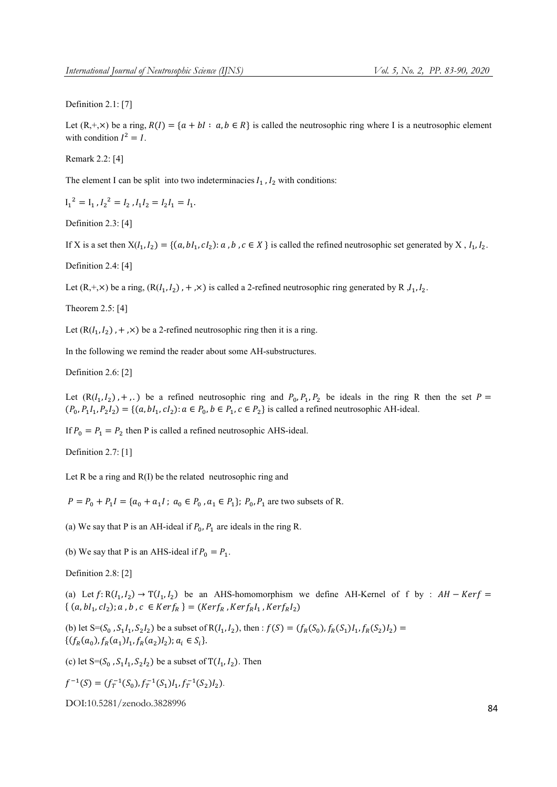#### Definition 2.1: [7]

Let  $(R, +, \times)$  be a ring,  $R(I) = \{a + bl : a, b \in R\}$  is called the neutrosophic ring where I is a neutrosophic element with condition  $I^2 = I$ .

# Remark 2.2: [4]

The element I can be split into two indeterminacies  $I_1$ ,  $I_2$  with conditions:

$$
I_1^2 = I_1, I_2^2 = I_2, I_1 I_2 = I_2 I_1 = I_1.
$$

Definition 2.3: [4]

If X is a set then  $X(I_1, I_2) = \{(a, bl_1, cl_2): a, b, c \in X\}$  is called the refined neutrosophic set generated by X,  $I_1, I_2$ .

Definition 2.4: [4]

Let  $(R, +, \times)$  be a ring,  $(R(I_1, I_2)$ ,  $+$ , $\times)$  is called a 2-refined neutrosophic ring generated by R,  $I_1, I_2$ .

Theorem 2.5: [4]

Let  $(R(I_1, I_2)$ , +, $\times$ ) be a 2-refined neutrosophic ring then it is a ring.

In the following we remind the reader about some AH-substructures.

Definition 2.6: [2]

Let  $(R(I_1, I_2)$ , +,.) be a refined neutrosophic ring and  $P_0, P_1, P_2$  be ideals in the ring R then the set  $P =$  $(P_0, P_1I_1, P_2I_2) = \{(a, bl_1, cl_2) : a \in P_0, b \in P_1, c \in P_2\}$  is called a refined neutrosophic AH-ideal.

If  $P_0 = P_1 = P_2$  then P is called a refined neutrosophic AHS-ideal.

Definition 2.7: [1]

Let R be a ring and R(I) be the related neutrosophic ring and

 $P = P_0 + P_1 I = \{a_0 + a_1 I$ ;  $a_0 \in P_0$ ,  $a_1 \in P_1$ ;  $P_0$ ,  $P_1$  are two subsets of R.

(a) We say that P is an AH-ideal if  $P_0$ ,  $P_1$  are ideals in the ring R.

(b) We say that P is an AHS-ideal if  $P_0 = P_1$ .

Definition 2.8: [2]

(a) Let  $f: R(I_1, I_2) \to T(I_1, I_2)$  be an AHS-homomorphism we define AH-Kernel of f by :  $AH - Kerf =$  $\{(a, bl_1, cl_2); a, b, c \in Ker f_R\} = (Ker f_R, Ker f_R I_1, Ker f_R I_2)$ 

(b) let  $S=(S_0, S_1I_1, S_2I_2)$  be a subset of  $R(I_1, I_2)$ , then :  $f(S) = (f_R(S_0), f_R(S_1)I_1, f_R(S_2)I_2)$  $\{ (f_R(a_0), f_R(a_1)I_1, f_R(a_2)I_2); a_i \in S_i \}.$ 

(c) let  $S=(S_0, S_1I_1, S_2I_2)$  be a subset of  $T(I_1, I_2)$ . Then

 $f^{-1}(S) = (f_T^{-1}(S_0), f_T^{-1}(S_1)I_1, f_T^{-1}(S_2)I_2).$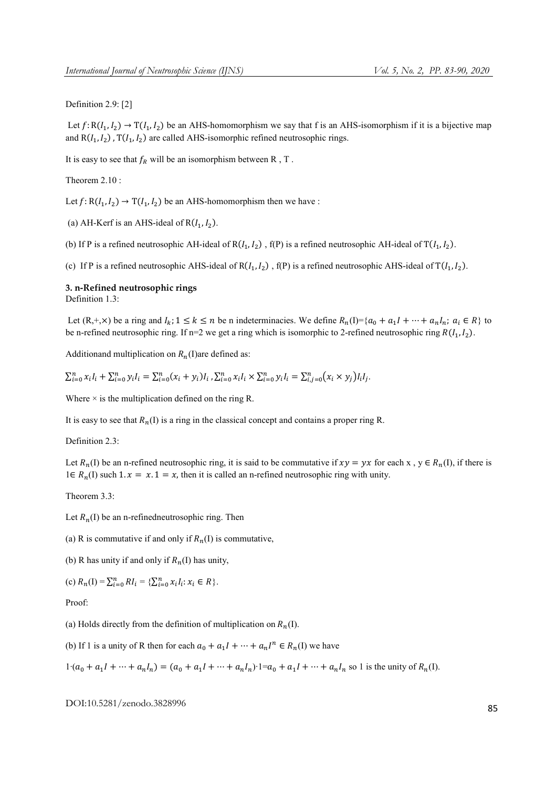#### Definition 2.9: [2]

Let  $f: R(I_1, I_2) \to T(I_1, I_2)$  be an AHS-homomorphism we say that f is an AHS-isomorphism if it is a bijective map and  $R(I_1, I_2)$ ,  $T(I_1, I_2)$  are called AHS-isomorphic refined neutrosophic rings.

It is easy to see that  $f_R$  will be an isomorphism between R, T.

Theorem 2.10 :

Let  $f: R(I_1, I_2) \to T(I_1, I_2)$  be an AHS-homomorphism then we have :

(a) AH-Kerf is an AHS-ideal of  $R(I_1, I_2)$ .

(b) If P is a refined neutrosophic AH-ideal of R $(l_1, l_2)$ , f(P) is a refined neutrosophic AH-ideal of T $(l_1, l_2)$ .

(c) If P is a refined neutrosophic AHS-ideal of  $R(I_1, I_2)$ ,  $f(P)$  is a refined neutrosophic AHS-ideal of  $T(I_1, I_2)$ .

## 3. n-Refined neutrosophic rings

Definition 1.3:

Let  $(R, +, \times)$  be a ring and  $I_k$ ;  $1 \le k \le n$  be n indeterminacies. We define  $R_n(I) = \{a_0 + a_1I + \cdots + a_nI_n; a_i \in R\}$  to be n-refined neutrosophic ring. If n=2 we get a ring which is isomorphic to 2-refined neutrosophic ring  $R(I_1, I_2)$ .

Additionand multiplication on  $R_n(I)$ are defined as:

 $\sum_{i=0}^{n} x_i I_i + \sum_{i=0}^{n} y_i I_i = \sum_{i=0}^{n} (x_i + y_i) I_i$ ,  $\sum_{i=0}^{n} x_i I_i \times \sum_{i=0}^{n} y_i I_i = \sum_{i,j=0}^{n} (x_i \times y_j) I_i I_j$ .

Where  $\times$  is the multiplication defined on the ring R.

It is easy to see that  $R_n(I)$  is a ring in the classical concept and contains a proper ring R.

Definition 2.3:

Let  $R_n(I)$  be an n-refined neutrosophic ring, it is said to be commutative if  $xy = yx$  for each x,  $y \in R_n(I)$ , if there is 1∈  $R_n(I)$  such 1.  $x = x.1 = x$ , then it is called an n-refined neutrosophic ring with unity.

Theorem 3.3:

Let  $R_n(I)$  be an n-refinedneutrosophic ring. Then

(a) R is commutative if and only if  $R_n(I)$  is commutative,

(b) R has unity if and only if  $R_n(I)$  has unity,

(c) 
$$
R_n(I) = \sum_{i=0}^n RI_i = \{\sum_{i=0}^n x_i I_i : x_i \in R\}.
$$

Proof:

(a) Holds directly from the definition of multiplication on  $R_n(I)$ .

(b) If 1 is a unity of R then for each  $a_0 + a_1 I + \cdots + a_n I^n \in R_n(I)$  we have

 $1·(a_0 + a_1I + \cdots + a_nI_n) = (a_0 + a_1I + \cdots + a_nI_n)·1 = a_0 + a_1I + \cdots + a_nI_n$  so 1 is the unity of  $R_n(I)$ .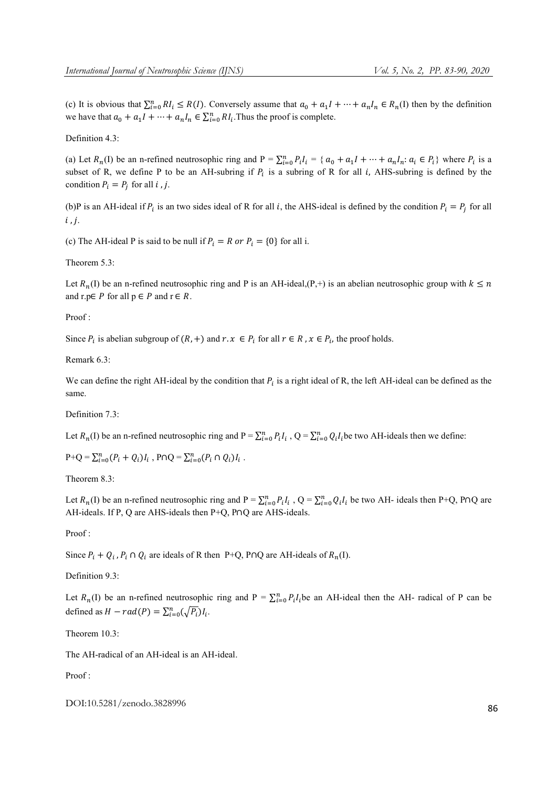(c) It is obvious that  $\sum_{i=0}^{n} RI_i \leq R(I)$ . Conversely assume that  $a_0 + a_1I + \cdots + a_nI_n \in R_n(I)$  then by the definition we have that  $a_0 + a_1 I + \cdots + a_n I_n \in \sum_{i=0}^n R I_i$ . Thus the proof is complete.

Definition 4.3:

(a) Let  $R_n(I)$  be an n-refined neutrosophic ring and  $P = \sum_{i=0}^{n} P_i I_i = \{ \alpha_0 + a_1 I + \dots + a_n I_n : a_i \in P_i \}$  where  $P_i$  is a subset of R, we define P to be an AH-subring if  $P_i$  is a subring of R for all *i*, AHS-subring is defined by the condition  $P_i = P_j$  for all *i*, *j*.

(b)P is an AH-ideal if  $P_i$  is an two sides ideal of R for all i, the AHS-ideal is defined by the condition  $P_i = P_j$  for all  $i, j.$ 

(c) The AH-ideal P is said to be null if  $P_i = R$  or  $P_i = \{0\}$  for all i.

Theorem 5.3:

Let  $R_n(I)$  be an n-refined neutrosophic ring and P is an AH-ideal,(P,+) is an abelian neutrosophic group with  $k \le n$ and r.p∈ P for all  $p \in P$  and  $r \in R$ .

Proof :

Since  $P_i$  is abelian subgroup of  $(R, +)$  and  $r \in \mathbb{R}$ ,  $x \in P_i$  for all  $r \in \mathbb{R}$ ,  $x \in P_i$ , the proof holds.

Remark 6.3:

We can define the right AH-ideal by the condition that  $P_i$  is a right ideal of R, the left AH-ideal can be defined as the same.

Definition 7.3:

Let  $R_n(I)$  be an n-refined neutrosophic ring and  $P = \sum_{i=0}^n P_i I_i$ ,  $Q = \sum_{i=0}^n Q_i I_i$  be two AH-ideals then we define:

 $P+Q = \sum_{i=0}^{n} (P_i + Q_i) I_i$ ,  $P \cap Q = \sum_{i=0}^{n} (P_i \cap Q_i) I_i$ .

Theorem 8.3.

Let  $R_n(I)$  be an n-refined neutrosophic ring and  $P = \sum_{i=0}^{n} P_i I_i$ ,  $Q = \sum_{i=0}^{n} Q_i I_i$  be two AH- ideals then P+Q, P∩Q are AH-ideals. If P, Q are AHS-ideals then P+Q, P∩Q are AHS-ideals.

Proof :

Since  $P_i + Q_i$ ,  $P_i \cap Q_i$  are ideals of R then P+Q, P∩Q are AH-ideals of  $R_n(I)$ .

Definition 9.3:

Let  $R_n(I)$  be an n-refined neutrosophic ring and P =  $\sum_{i=0}^{n} P_i I_i$  be an AH-ideal then the AH- radical of P can be defined as  $H - rad(P) = \sum_{i=0}^{n} (\sqrt{P_i}) I_i$ .

Theorem 10.3<sup>-</sup>

The AH-radical of an AH-ideal is an AH-ideal.

Proof :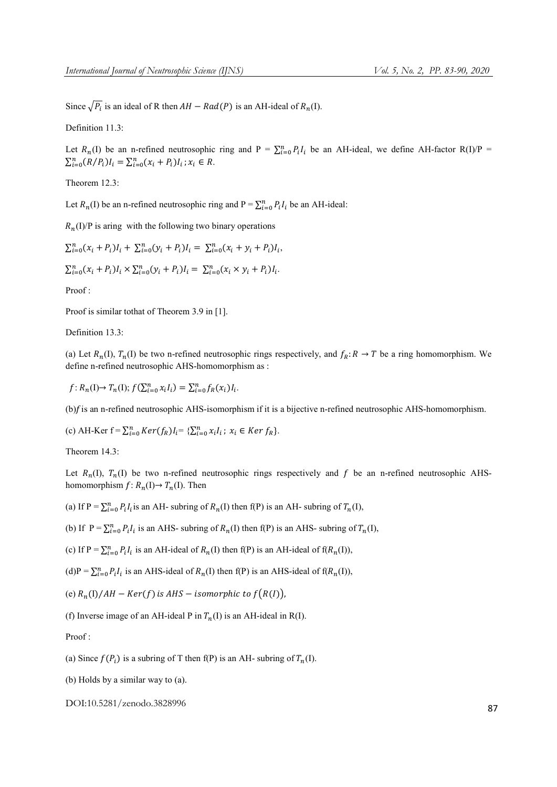Since  $\sqrt{P_i}$  is an ideal of R then  $AH - Rad(P)$  is an AH-ideal of  $R_n(I)$ .

Definition 11.3:

Let  $R_n(I)$  be an n-refined neutrosophic ring and  $P = \sum_{i=0}^{n} P_i I_i$  be an AH-ideal, we define AH-factor R(I)/P =  $\sum_{i=0}^{n} (R/P_i) I_i = \sum_{i=0}^{n} (x_i + P_i) I_i$ ;  $x_i \in R$ .

Theorem 12.3:

Let  $R_n(I)$  be an n-refined neutrosophic ring and  $P = \sum_{i=0}^{n} P_i I_i$  be an AH-ideal:

 $R_n(I)/P$  is aring with the following two binary operations

 $\sum_{i=0}^{n} (x_i + P_i)I_i + \sum_{i=0}^{n} (y_i + P_i)I_i = \sum_{i=0}^{n} (x_i + y_i + P_i)I_i,$ 

 $\sum_{i=0}^{n} (x_i + P_i) I_i \times \sum_{i=0}^{n} (y_i + P_i) I_i = \sum_{i=0}^{n} (x_i \times y_i + P_i) I_i.$ 

Proof :

Proof is similar tothat of Theorem 3.9 in [1].

Definition 13.3:

(a) Let  $R_n(I)$ ,  $T_n(I)$  be two n-refined neutrosophic rings respectively, and  $f_R: R \to T$  be a ring homomorphism. We define n-refined neutrosophic AHS-homomorphism as :

 $f: R_n(I) \to T_n(I);$   $f(\sum_{i=0}^n x_i I_i) = \sum_{i=0}^n f_R(x_i) I_i$ .

 $(b)$ f is an n-refined neutrosophic AHS-isomorphism if it is a bijective n-refined neutrosophic AHS-homomorphism.

(c) AH-Ker  $f = \sum_{i=0}^{n} Ker(f_R)I_i = \{ \sum_{i=0}^{n} x_i I_i : x_i \in Ker f_R \}.$ 

Theorem 14.3:

Let  $R_n(I)$ ,  $T_n(I)$  be two n-refined neutrosophic rings respectively and f be an n-refined neutrosophic AHShomomorphism  $f: R_n(I) \to T_n(I)$ . Then

(a) If P =  $\sum_{i=0}^{n} P_i I_i$  is an AH- subring of  $R_n(I)$  then f(P) is an AH- subring of  $T_n(I)$ ,

(b) If  $P = \sum_{i=0}^{n} P_i I_i$  is an AHS- subring of  $R_n(I)$  then f(P) is an AHS- subring of  $T_n(I)$ ,

(c) If P =  $\sum_{i=0}^{n} P_i I_i$  is an AH-ideal of  $R_n(I)$  then f(P) is an AH-ideal of f( $R_n(I)$ ),

(d)P =  $\sum_{i=0}^{n} P_i I_i$  is an AHS-ideal of  $R_n(I)$  then f(P) is an AHS-ideal of f( $R_n(I)$ ),

(e)  $R_n(I)/AH - Ker(f)$  is AHS – isomorphic to  $f(R(I))$ ,

(f) Inverse image of an AH-ideal P in  $T_n(I)$  is an AH-ideal in R(I).

Proof :

(a) Since  $f(P_i)$  is a subring of T then f(P) is an AH- subring of  $T_n(I)$ .

(b) Holds by a similar way to (a).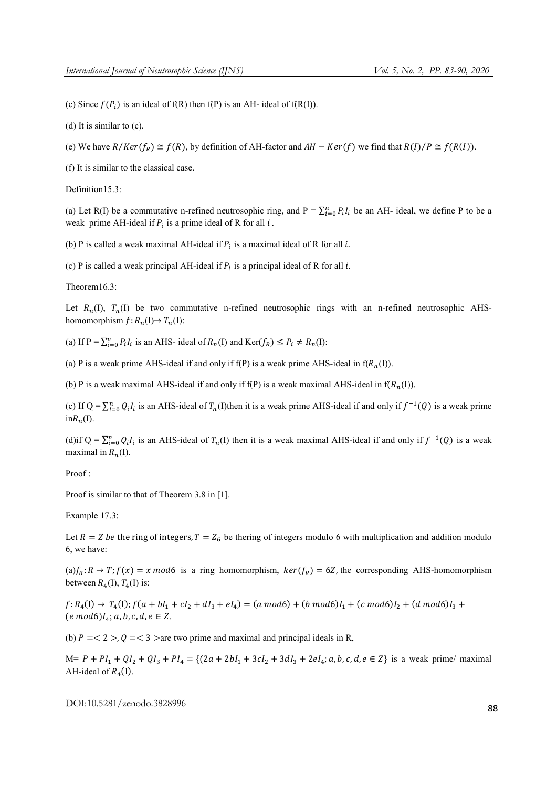(c) Since  $f(P_i)$  is an ideal of  $f(R)$  then  $f(P)$  is an AH- ideal of  $f(R(I))$ .

(d) It is similar to (c).

(e) We have  $R/Ker(f_R) \cong f(R)$ , by definition of AH-factor and  $AH - Ker(f)$  we find that  $R(I)/P \cong f(R(I))$ .

(f) It is similar to the classical case.

Definition15.3:

(a) Let R(I) be a commutative n-refined neutrosophic ring, and  $P = \sum_{i=0}^{n} P_i I_i$  be an AH- ideal, we define P to be a weak prime AH-ideal if  $P_i$  is a prime ideal of R for all  $i$ .

(b) P is called a weak maximal AH-ideal if  $P_i$  is a maximal ideal of R for all i.

(c) P is called a weak principal AH-ideal if  $P_i$  is a principal ideal of R for all i.

Theorem16.3:

Let  $R_n(I)$ ,  $T_n(I)$  be two commutative n-refined neutrosophic rings with an n-refined neutrosophic AHShomomorphism  $f: R_n(I) \to T_n(I)$ :

(a) If  $P = \sum_{i=0}^{n} P_i I_i$  is an AHS- ideal of  $R_n(I)$  and  $Ker(f_R) \le P_i \ne R_n(I)$ :

(a) P is a weak prime AHS-ideal if and only if f(P) is a weak prime AHS-ideal in  $f(R_n(I))$ .

(b) P is a weak maximal AHS-ideal if and only if  $f(P)$  is a weak maximal AHS-ideal in  $f(R_n(I))$ .

(c) If Q =  $\sum_{i=0}^{n} Q_i I_i$  is an AHS-ideal of  $T_n(I)$ then it is a weak prime AHS-ideal if and only if  $f^{-1}(Q)$  is a weak prime  $in R_n(I)$ .

(d)if  $Q = \sum_{i=0}^{n} Q_i I_i$  is an AHS-ideal of  $T_n(I)$  then it is a weak maximal AHS-ideal if and only if  $f^{-1}(Q)$  is a weak maximal in  $R_n(I)$ .

Proof :

Proof is similar to that of Theorem 3.8 in [1].

Example 17.3:

Let  $R = Z$  be the ring of integers,  $T = Z_6$  be thering of integers modulo 6 with multiplication and addition modulo 6, we have:

 $(a) f_R: R \to T$ ;  $f(x) = x \mod 6$  is a ring homomorphism,  $ker(f_R) = 6Z$ , the corresponding AHS-homomorphism between  $R_4(I)$ ,  $T_4(I)$  is:

 $f: R_4(I) \to T_4(I); f(a+bl_1+cl_2+dl_3+el_4) = (a \mod 6) + (b \mod 6)l_1 + (c \mod 6)l_2 + (d \mod 6)l_3 +$  $(e \mod 6)I_4$ ; a, b, c, d,  $e \in Z$ .

(b)  $P = < 2 > 0 < 3$  are two prime and maximal and principal ideals in R,

 $M = P + Pl_1 + QI_2 + QI_3 + Pl_4 = \{(2a + 2bl_1 + 3cl_2 + 3dl_3 + 2el_4; a, b, c, d, e \in \mathbb{Z}\}\)$  is a weak prime/ maximal AH-ideal of  $R_4(I)$ .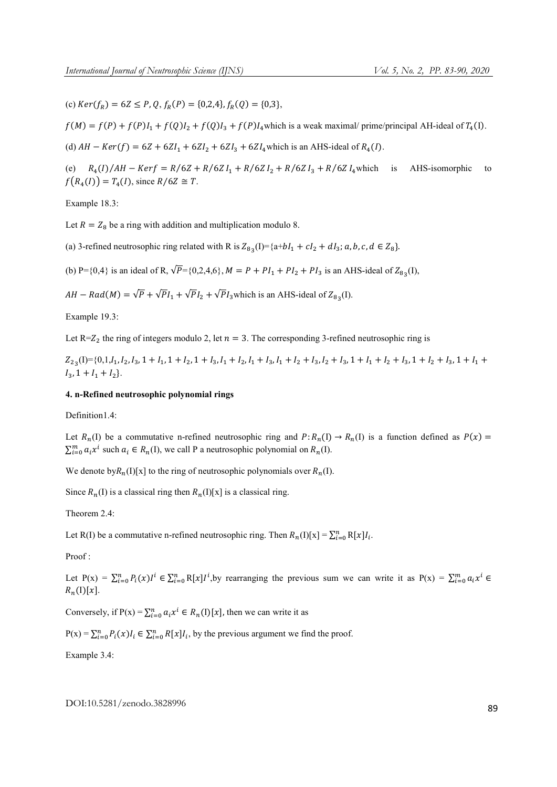(c)  $Ker(f_R) = 6Z \leq P, Q, f_R(P) = \{0,2,4\}, f_R(Q) = \{0,3\},\$ 

 $f(M) = f(P) + f(P)I_1 + f(Q)I_2 + f(Q)I_3 + f(P)I_4$  which is a weak maximal/ prime/principal AH-ideal of  $T_4(I)$ .

(d)  $AH - Ker(f) = 6Z + 6ZI_1 + 6ZI_2 + 6ZI_3 + 6ZI_4$  which is an AHS-ideal of  $R_4(I)$ .

(e)  $R_4(I)/AH - Kerf = R/6Z + R/6Z I_1 + R/6Z I_2 + R/6Z I_3 + R/6Z I_4$  which is AHS-isomorphic to  $f(R_4(I)) = T_4(I)$ , since  $R/6Z \cong T$ .

Example 18.3:

Let  $R = Z_8$  be a ring with addition and multiplication modulo 8.

(a) 3-refined neutrosophic ring related with R is  $Z_{83}(I) = \{a+bI_1+cI_2+dI_3; a, b, c, d \in Z_8\}.$ 

(b) P={0,4} is an ideal of R,  $\sqrt{P}$ ={0,2,4,6},  $M = P + PI_1 + PI_2 + PI_3$  is an AHS-ideal of  $Z_{82}(I)$ ,

 $AH - Rad(M) = \sqrt{P} + \sqrt{P}I_1 + \sqrt{P}I_2 + \sqrt{P}I_3$  which is an AHS-ideal of  $Z_{8a}$ . (I).

Example 19.3:

Let  $R = Z_2$  the ring of integers modulo 2, let  $n = 3$ . The corresponding 3-refined neutrosophic ring is

 $Z_{23}(I) = \{0,1,l_1,l_2,l_3,1 + l_1,1 + l_2,1 + l_3, l_1 + l_2, l_1 + l_3, l_1 + l_2 + l_3, l_2 + l_3,1 + l_1 + l_2 + l_3,1 + l_2 + l_3,1 + l_1 + l_2 + l_3,1 + l_3 + l_4 + l_5,1 + l_5 + l_6 + l_7 + l_8 + l_9 + l_1 + l_2 + l_3 + l_4 + l_5 + l_6 + l_7 + l_8 + l_9 + l_1 + l_2 + l_3 + l_4 + l_5 + l_6 + l_7 + l_7 + l$  $I_3$ ,  $1 + I_1 + I_2$ .

# 4. n-Refined neutrosophic polynomial rings

Definition1.4:

Let  $R_n(I)$  be a commutative n-refined neutrosophic ring and  $P: R_n(I) \to R_n(I)$  is a function defined as  $P(x) =$  $\sum_{i=0}^{m} a_i x^i$  such  $a_i \in R_n(I)$ , we call P a neutrosophic polynomial on  $R_n(I)$ .

We denote by $R_n(I)[x]$  to the ring of neutrosophic polynomials over  $R_n(I)$ .

Since  $R_n(I)$  is a classical ring then  $R_n(I)[x]$  is a classical ring.

Theorem 2.4:

Let R(I) be a commutative n-refined neutrosophic ring. Then  $R_n(I)[x] = \sum_{i=0}^n R[x]I_i$ .

Proof :

Let  $P(x) = \sum_{i=0}^{n} P_i(x)I^i \in \sum_{i=0}^{n} R[x]I^i$ , by rearranging the previous sum we can write it as  $P(x) = \sum_{i=0}^{m} a_i x^i \in$  $R_n(I)[x]$ .

Conversely, if  $P(x) = \sum_{i=0}^{n} a_i x^i \in R_n(I)[x]$ , then we can write it as

 $P(x) = \sum_{i=0}^{n} P_i(x) I_i \in \sum_{i=0}^{n} R[x] I_i$ , by the previous argument we find the proof.

Example 3.4: